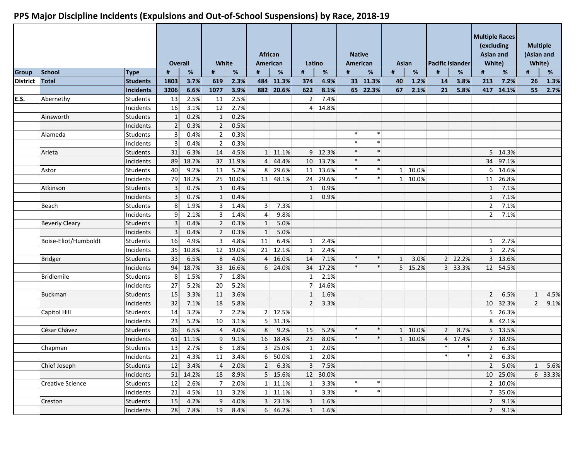|                 |                         |                 |      | <b>Overall</b> | White            |          | <b>African</b><br>American |                  | Latino          |                 |              | <b>Native</b><br>American | Asian          |         | <b>Pacific Islander</b> |         | <b>Multiple Races</b><br>(excluding<br><b>Asian and</b><br>White) |           | <b>Multiple</b><br>(Asian and<br>White) |         |
|-----------------|-------------------------|-----------------|------|----------------|------------------|----------|----------------------------|------------------|-----------------|-----------------|--------------|---------------------------|----------------|---------|-------------------------|---------|-------------------------------------------------------------------|-----------|-----------------------------------------|---------|
| <b>Group</b>    | <b>School</b>           | <b>Type</b>     | #    | %              | #                | %        | #                          | %                | #               | %               | #            | %                         | #              | $\%$    | Ħ                       | %       | #                                                                 | %         | #                                       | $\%$    |
| <b>District</b> | <b>Total</b>            | <b>Students</b> | 1803 | 3.7%           | 619              | 2.3%     |                            | 484 11.3%        | 374             | 4.9%            |              | 33 11.3%                  | 40             | 1.2%    | 14                      | 3.8%    | 213                                                               | 7.2%      | 26                                      | 1.3%    |
|                 |                         | Incidents       | 3206 | 6.6%           | 1077             | 3.9%     |                            | 882 20.6%        | 622             | 8.1%            |              | 65 22.3%                  | 67             | 2.1%    | 21                      | 5.8%    |                                                                   | 417 14.1% | 55                                      | 2.7%    |
| E.S.            | Abernethy               | <b>Students</b> | 13   | 2.5%           | 11               | 2.5%     |                            |                  | $\overline{2}$  | 7.4%            |              |                           |                |         |                         |         |                                                                   |           |                                         |         |
|                 |                         | Incidents       | 16   | 3.1%           | 12               | 2.7%     |                            |                  | $\overline{4}$  | 14.8%           |              |                           |                |         |                         |         |                                                                   |           |                                         |         |
|                 | Ainsworth               | <b>Students</b> |      | 0.2%           | $\mathbf{1}$     | 0.2%     |                            |                  |                 |                 |              |                           |                |         |                         |         |                                                                   |           |                                         |         |
|                 |                         | Incidents       |      | 0.3%           | $\overline{2}$   | 0.5%     |                            |                  |                 |                 |              |                           |                |         |                         |         |                                                                   |           |                                         |         |
|                 | Alameda                 | <b>Students</b> |      | 0.4%           | $\overline{2}$   | 0.3%     |                            |                  |                 |                 | $\ast$       | $\ast$                    |                |         |                         |         |                                                                   |           |                                         |         |
|                 |                         | Incidents       |      | 0.4%           | $\overline{2}$   | 0.3%     |                            |                  |                 |                 | $\ast$       | $\ast$                    |                |         |                         |         |                                                                   |           |                                         |         |
|                 | Arleta                  | <b>Students</b> | 31   | 6.3%           | 14               | 4.5%     |                            | 1 11.1%          |                 | 9 12.3%         | $\ast$       | $\ast$                    |                |         |                         |         |                                                                   | 5 14.3%   |                                         |         |
|                 |                         | Incidents       | 89   | 18.2%          | 37               | 11.9%    |                            | 4 44.4%          | 10 <sup>1</sup> | 13.7%           | $\ast$       | $\ast$                    |                |         |                         |         |                                                                   | 34 97.1%  |                                         |         |
|                 | Astor                   | <b>Students</b> | 40   | 9.2%           | 13               | 5.2%     |                            | 8 29.6%          | 11              | 13.6%           | $\ast$       | $\ast$                    | 1 <sup>1</sup> | 10.0%   |                         |         | 6 <sup>1</sup>                                                    | 14.6%     |                                         |         |
|                 |                         | Incidents       | 79   | 18.2%          | 25               | 10.0%    |                            | 13 48.1%         | 24              | 29.6%           | $\ast$       | $\ast$                    |                | 1 10.0% |                         |         | 11                                                                | 26.8%     |                                         |         |
|                 | Atkinson                | <b>Students</b> |      | 0.7%           | $\mathbf{1}$     | 0.4%     |                            |                  | 1               | 0.9%            |              |                           |                |         |                         |         | $\mathbf{1}$                                                      | 7.1%      |                                         |         |
|                 |                         | Incidents       |      | 0.7%           | $\mathbf{1}$     | 0.4%     |                            |                  | 1               | 0.9%            |              |                           |                |         |                         |         | $\mathbf{1}$                                                      | 7.1%      |                                         |         |
|                 | Beach                   | <b>Students</b> |      | 1.9%           | 3 <sup>1</sup>   | 1.4%     | $\overline{3}$             | 7.3%             |                 |                 |              |                           |                |         |                         |         | 2 <sup>1</sup>                                                    | 7.1%      |                                         |         |
|                 |                         | Incidents       |      | 2.1%           | 3 <sup>1</sup>   | 1.4%     | 4                          | 9.8%             |                 |                 |              |                           |                |         |                         |         | 2 <sup>1</sup>                                                    | 7.1%      |                                         |         |
|                 | <b>Beverly Cleary</b>   | Students        |      | 0.4%           | $\overline{2}$   | 0.3%     | 1                          | 5.0%             |                 |                 |              |                           |                |         |                         |         |                                                                   |           |                                         |         |
|                 |                         | Incidents       |      | 0.4%           | $\overline{2}$   | 0.3%     | $\mathbf{1}$               | 5.0%             |                 |                 |              |                           |                |         |                         |         |                                                                   |           |                                         |         |
|                 | Boise-Eliot/Humboldt    | <b>Students</b> | 16   | 4.9%           | $\overline{3}$   | 4.8%     | 11                         | 6.4%             | $\mathbf{1}$    | 2.4%            |              |                           |                |         |                         |         | $1\vert$                                                          | 2.7%      |                                         |         |
|                 |                         | Incidents       | 35   | 10.8%          |                  | 12 19.0% |                            | 21 12.1%         | 1               | 2.4%            |              |                           |                |         |                         |         | $1\vert$                                                          | 2.7%      |                                         |         |
|                 | <b>Bridger</b>          | <b>Students</b> | 33   | 6.5%           | 8                | 4.0%     |                            | 4 16.0%          | 14              | 7.1%            | $\ast$       | $\ast$                    | $1\vert$       | 3.0%    |                         | 2 22.2% |                                                                   | 3 13.6%   |                                         |         |
|                 |                         | Incidents       | 94   | 18.7%          | 33 <sup>1</sup>  | 16.6%    |                            | 6 24.0%          |                 | 34 17.2%        | $\ast$       | $\ast$                    |                | 5 15.2% |                         | 3 33.3% |                                                                   | 12 54.5%  |                                         |         |
|                 | <b>Bridlemile</b>       | <b>Students</b> | 8    | 1.5%           | $7 \overline{ }$ | 1.8%     |                            |                  | $1\vert$        | 2.1%            |              |                           |                |         |                         |         |                                                                   |           |                                         |         |
|                 |                         | Incidents       | 27   | 5.2%           | 20 <sup>°</sup>  | 5.2%     |                            |                  |                 | 7 14.6%         |              |                           |                |         |                         |         |                                                                   |           |                                         |         |
|                 | <b>Buckman</b>          | <b>Students</b> | 15   | 3.3%           | 11               | 3.6%     |                            |                  | $1\vert$        | 1.6%            |              |                           |                |         |                         |         | 2 <sup>1</sup>                                                    | 6.5%      | $\mathbf{1}$                            | 4.5%    |
|                 |                         | Incidents       | 32   | 7.1%           | 18               | 5.8%     |                            |                  | 2               | 3.3%            |              |                           |                |         |                         |         | 10 <sup>1</sup>                                                   | 32.3%     | $\overline{2}$                          | 9.1%    |
|                 | Capitol Hill            | <b>Students</b> | 14   | 3.2%           | $\overline{7}$   | 2.2%     |                            | 2 12.5%          |                 |                 |              |                           |                |         |                         |         |                                                                   | 5 26.3%   |                                         |         |
|                 |                         | Incidents       | 23   | 5.2%           | 10               | 3.1%     |                            | $5$ 31.3%        |                 |                 |              |                           |                |         |                         |         | 8                                                                 | 42.1%     |                                         |         |
|                 | César Chávez            | <b>Students</b> | 36   | 6.5%           | $\overline{4}$   | 4.0%     | 8                          | 9.2%             | 15              | 5.2%            | $\ast$       | $\ast$                    |                | 1 10.0% | 2 <sup>1</sup>          | 8.7%    |                                                                   | 5 13.5%   |                                         |         |
|                 |                         | Incidents       | 61   | 11.1%          | 9                | 9.1%     |                            | 16 18.4%         | 23              | 8.0%            | $\pmb{\ast}$ | $\ast$                    |                | 1 10.0% |                         | 4 17.4% |                                                                   | 7 18.9%   |                                         |         |
|                 | Chapman                 | Students        | 13   | 2.7%           | 6                | 1.8%     |                            | 3 25.0%          | $\mathbf{1}$    | 2.0%            |              |                           |                |         | $\ast$                  | $\ast$  | 2 <sup>1</sup>                                                    | 6.3%      |                                         |         |
|                 |                         | Incidents       | 21   | 4.3%           | 11               | 3.4%     |                            | 6 50.0%          |                 | $1 \quad 2.0\%$ |              |                           |                |         | $\ast$                  | $\ast$  | 2 <sup>1</sup>                                                    | 6.3%      |                                         |         |
|                 | Chief Joseph            | Students        | 12   | 3.4%           | $\overline{4}$   | 2.0%     |                            | 2 6.3%           | 3               | 7.5%            |              |                           |                |         |                         |         | 2                                                                 | 5.0%      | $\mathbf{1}$                            | 5.6%    |
|                 |                         | Incidents       | 51   | 14.2%          | 18               | 8.9%     |                            | 5 15.6%          |                 | 12 30.0%        |              |                           |                |         |                         |         |                                                                   | 10 25.0%  |                                         | 6 33.3% |
|                 | <b>Creative Science</b> | Students        | 12   | 2.6%           | 7 <sup>1</sup>   | 2.0%     |                            | $1 \quad 11.1\%$ | $\mathbf{1}$    | 3.3%            | $\ast$       | $\ast$                    |                |         |                         |         |                                                                   | 2 10.0%   |                                         |         |
|                 |                         | Incidents       | 21   | 4.5%           | 11               | 3.2%     |                            | 1 11.1%          | $\mathbf{1}$    | 3.3%            | $\ast$       | $\ast$                    |                |         |                         |         |                                                                   | 7 35.0%   |                                         |         |
|                 | Creston                 | Students        | 15   | 4.2%           | 9                | 4.0%     |                            | 3 23.1%          | $\mathbf{1}$    | 1.6%            |              |                           |                |         |                         |         | 2                                                                 | 9.1%      |                                         |         |
|                 |                         | Incidents       | 28   | 7.8%           | 19               | 8.4%     |                            | 6 46.2%          |                 | 1 1.6%          |              |                           |                |         |                         |         | 2                                                                 | 9.1%      |                                         |         |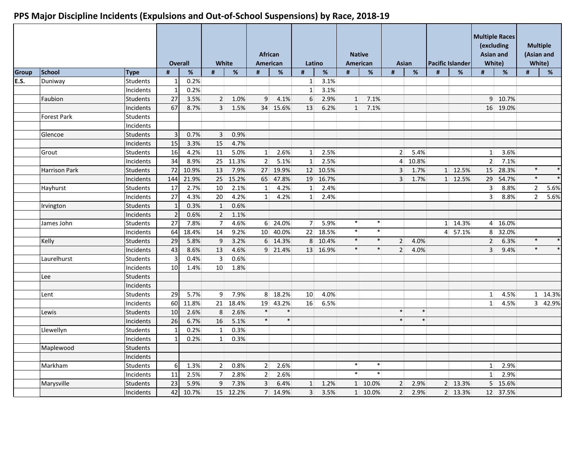|              |                      |                 |                | <b>Overall</b> | White                   |       | <b>African</b><br>American |          | Latino         |          | <b>Native</b><br>American |         |                | <b>Asian</b> |   | <b>Pacific Islander</b> |                | <b>Multiple Races</b><br>(excluding<br><b>Asian and</b><br>White) |                | <b>Multiple</b><br>(Asian and<br>White) |
|--------------|----------------------|-----------------|----------------|----------------|-------------------------|-------|----------------------------|----------|----------------|----------|---------------------------|---------|----------------|--------------|---|-------------------------|----------------|-------------------------------------------------------------------|----------------|-----------------------------------------|
| <b>Group</b> | <b>School</b>        | <b>Type</b>     | $\pmb{\sharp}$ | $\%$           | #                       | $\%$  | #                          | %        | #              | $\%$     | #                         | %       | #              | %            | # | %                       | #              | %                                                                 | #              | $\overline{\mathscr{L}}$                |
| E.S.         | Duniway              | Students        |                | 0.2%           |                         |       |                            |          | $\mathbf{1}$   | 3.1%     |                           |         |                |              |   |                         |                |                                                                   |                |                                         |
|              |                      | Incidents       |                | 0.2%           |                         |       |                            |          | $\mathbf{1}$   | 3.1%     |                           |         |                |              |   |                         |                |                                                                   |                |                                         |
|              | Faubion              | Students        | 27             | 3.5%           | $\overline{2}$          | 1.0%  | 9                          | 4.1%     | 6              | 2.9%     | 1                         | 7.1%    |                |              |   |                         |                | 9 10.7%                                                           |                |                                         |
|              |                      | Incidents       | 67             | 8.7%           | $\overline{3}$          | 1.5%  |                            | 34 15.6% | 13             | 6.2%     | 1                         | 7.1%    |                |              |   |                         |                | 16 19.0%                                                          |                |                                         |
|              | <b>Forest Park</b>   | Students        |                |                |                         |       |                            |          |                |          |                           |         |                |              |   |                         |                |                                                                   |                |                                         |
|              |                      | Incidents       |                |                |                         |       |                            |          |                |          |                           |         |                |              |   |                         |                |                                                                   |                |                                         |
|              | Glencoe              | Students        | 3              | 0.7%           | $\overline{3}$          | 0.9%  |                            |          |                |          |                           |         |                |              |   |                         |                |                                                                   |                |                                         |
|              |                      | Incidents       | 15             | 3.3%           | 15                      | 4.7%  |                            |          |                |          |                           |         |                |              |   |                         |                |                                                                   |                |                                         |
|              | Grout                | Students        | 16             | 4.2%           | 11                      | 5.0%  | $\mathbf{1}$               | 2.6%     | $\mathbf{1}$   | 2.5%     |                           |         | 2 <sup>1</sup> | 5.4%         |   |                         | 1              | 3.6%                                                              |                |                                         |
|              |                      | Incidents       | 34             | 8.9%           | 25                      | 11.3% | $\overline{2}$             | 5.1%     | $\mathbf{1}$   | 2.5%     |                           |         | $\overline{4}$ | 10.8%        |   |                         | 2 <sup>1</sup> | 7.1%                                                              |                |                                         |
|              | <b>Harrison Park</b> | <b>Students</b> | 72             | 10.9%          | 13                      | 7.9%  |                            | 27 19.9% |                | 12 10.5% |                           |         | 3 <sup>1</sup> | 1.7%         |   | 1 12.5%                 |                | 15 28.3%                                                          | $\ast$         | $\ast$                                  |
|              |                      | Incidents       | 144            | 21.9%          | 25                      | 15.2% | 65                         | 47.8%    | 19             | 16.7%    |                           |         | 3 <sup>1</sup> | 1.7%         |   | 1 12.5%                 | 29             | 54.7%                                                             | $\ast$         | $\ast$                                  |
|              | Hayhurst             | <b>Students</b> | 17             | 2.7%           | 10                      | 2.1%  | 1                          | 4.2%     | $\mathbf{1}$   | 2.4%     |                           |         |                |              |   |                         | $\overline{3}$ | 8.8%                                                              | $\overline{2}$ | 5.6%                                    |
|              |                      | Incidents       | 27             | 4.3%           | 20                      | 4.2%  | 1                          | 4.2%     | 1              | 2.4%     |                           |         |                |              |   |                         | 3 <sup>1</sup> | 8.8%                                                              | $\overline{2}$ | 5.6%                                    |
|              | Irvington            | Students        | $\mathbf{1}$   | 0.3%           | $\mathbf{1}$            | 0.6%  |                            |          |                |          |                           |         |                |              |   |                         |                |                                                                   |                |                                         |
|              |                      | Incidents       | $\overline{2}$ | 0.6%           | $\overline{2}$          | 1.1%  |                            |          |                |          |                           |         |                |              |   |                         |                |                                                                   |                |                                         |
|              | James John           | Students        | 27             | 7.8%           | $\overline{7}$          | 4.6%  |                            | 6 24.0%  | $\overline{7}$ | 5.9%     | $\ast$                    | $\ast$  |                |              |   | 1 14.3%                 |                | 4 16.0%                                                           |                |                                         |
|              |                      | Incidents       | 64             | 18.4%          | 14                      | 9.2%  | 10 <sup>1</sup>            | 40.0%    | 22             | 18.5%    | $\ast$                    | $\ast$  |                |              |   | $4$ 57.1%               | 8              | 32.0%                                                             |                |                                         |
|              | Kelly                | Students        | 29             | 5.8%           | 9                       | 3.2%  |                            | 6 14.3%  |                | 8 10.4%  | $\ast$                    | $\ast$  | $\overline{2}$ | 4.0%         |   |                         | $\overline{2}$ | 6.3%                                                              | $\ast$         | $\ast$                                  |
|              |                      | Incidents       | 43             | 8.6%           | 13                      | 4.6%  |                            | 9 21.4%  |                | 13 16.9% | $\ast$                    | $\ast$  | 2              | 4.0%         |   |                         | $\overline{3}$ | 9.4%                                                              | $\ast$         | $\ast$                                  |
|              | Laurelhurst          | Students        |                | 0.4%           | $\overline{\mathbf{3}}$ | 0.6%  |                            |          |                |          |                           |         |                |              |   |                         |                |                                                                   |                |                                         |
|              |                      | Incidents       | 10             | 1.4%           | 10                      | 1.8%  |                            |          |                |          |                           |         |                |              |   |                         |                |                                                                   |                |                                         |
|              | Lee                  | Students        |                |                |                         |       |                            |          |                |          |                           |         |                |              |   |                         |                |                                                                   |                |                                         |
|              |                      | Incidents       |                |                |                         |       |                            |          |                |          |                           |         |                |              |   |                         |                |                                                                   |                |                                         |
|              | Lent                 | Students        | 29             | 5.7%           | 9 <sup>°</sup>          | 7.9%  |                            | 8 18.2%  | 10             | 4.0%     |                           |         |                |              |   |                         | $1\vert$       | 4.5%                                                              |                | 1 14.3%                                 |
|              |                      | Incidents       | 60             | 11.8%          | 21                      | 18.4% | 19                         | 43.2%    | 16             | 6.5%     |                           |         |                |              |   |                         | 1              | 4.5%                                                              | $\mathbf{3}$   | 42.9%                                   |
|              | Lewis                | Students        | 10             | 2.6%           | 8                       | 2.6%  | $\ast$                     | $\ast$   |                |          |                           |         | $\ast$         | $\ast$       |   |                         |                |                                                                   |                |                                         |
|              |                      | Incidents       | 26             | 6.7%           | 16                      | 5.1%  | $\ast$                     | $\ast$   |                |          |                           |         | $\ast$         | $\ast$       |   |                         |                |                                                                   |                |                                         |
|              | Llewellyn            | Students        |                | 0.2%           | $\mathbf 1$             | 0.3%  |                            |          |                |          |                           |         |                |              |   |                         |                |                                                                   |                |                                         |
|              |                      | Incidents       |                | 0.2%           | $\mathbf{1}$            | 0.3%  |                            |          |                |          |                           |         |                |              |   |                         |                |                                                                   |                |                                         |
|              | Maplewood            | Students        |                |                |                         |       |                            |          |                |          |                           |         |                |              |   |                         |                |                                                                   |                |                                         |
|              |                      | Incidents       |                |                |                         |       |                            |          |                |          |                           |         |                |              |   |                         |                |                                                                   |                |                                         |
|              | Markham              | Students        | 6              | 1.3%           | $\overline{2}$          | 0.8%  | 2 <sup>1</sup>             | 2.6%     |                |          | $\ast$                    | $\ast$  |                |              |   |                         | $1\vert$       | 2.9%                                                              |                |                                         |
|              |                      | Incidents       | 11             | 2.5%           | $7 \overline{ }$        | 2.8%  | $\overline{2}$             | 2.6%     |                |          | $\ast$                    | $\ast$  |                |              |   |                         | 1              | 2.9%                                                              |                |                                         |
|              | Marysville           | Students        | 23             | 5.9%           | 9                       | 7.3%  | 3                          | 6.4%     | $\mathbf{1}$   | 1.2%     |                           | 1 10.0% | $\overline{2}$ | 2.9%         |   | 2 13.3%                 | 5 <sup>1</sup> | 15.6%                                                             |                |                                         |
|              |                      | Incidents       | 42             | 10.7%          | 15                      | 12.2% |                            | 7 14.9%  | $\overline{3}$ | 3.5%     |                           | 1 10.0% | 2 <sup>1</sup> | 2.9%         |   | 2 13.3%                 |                | 12 37.5%                                                          |                |                                         |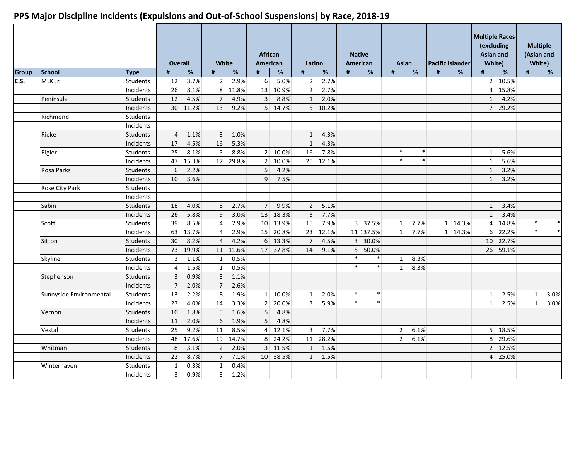|              |                         |                 |                 | <b>Overall</b> |                | White |                  | <b>African</b><br><b>American</b> |                | Latino   |        | <b>Native</b><br><b>American</b> |                | <b>Asian</b> |   | <b>Pacific Islander</b> |                 | <b>Multiple Races</b><br>(excluding<br><b>Asian and</b><br>White) |              | <b>Multiple</b><br>(Asian and<br>White) |                   |
|--------------|-------------------------|-----------------|-----------------|----------------|----------------|-------|------------------|-----------------------------------|----------------|----------|--------|----------------------------------|----------------|--------------|---|-------------------------|-----------------|-------------------------------------------------------------------|--------------|-----------------------------------------|-------------------|
| <b>Group</b> | School                  | <b>Type</b>     | #               | $\%$           | #              | $\%$  | #                | $\%$                              | #              | $\%$     | #      | %                                | #              | $\%$         | # | %                       | #               | $\%$                                                              | #            | %                                       |                   |
| E.S.         | MLK Jr                  | Students        | 12              | 3.7%           | $\overline{2}$ | 2.9%  | $6 \overline{6}$ | 5.0%                              | 2 <sup>1</sup> | 2.7%     |        |                                  |                |              |   |                         |                 | 2 10.5%                                                           |              |                                         |                   |
|              |                         | Incidents       | $\overline{26}$ | 8.1%           | 8 <sup>1</sup> | 11.8% | 13               | 10.9%                             | 2              | 2.7%     |        |                                  |                |              |   |                         |                 | 3 15.8%                                                           |              |                                         |                   |
|              | Peninsula               | Students        | 12              | 4.5%           | $\overline{7}$ | 4.9%  | $\overline{3}$   | 8.8%                              | $\mathbf{1}$   | 2.0%     |        |                                  |                |              |   |                         | $1\vert$        | 4.2%                                                              |              |                                         |                   |
|              |                         | Incidents       | 30 <sup>°</sup> | 11.2%          | 13             | 9.2%  |                  | 5 14.7%                           |                | 5 10.2%  |        |                                  |                |              |   |                         |                 | 7 29.2%                                                           |              |                                         |                   |
|              | Richmond                | Students        |                 |                |                |       |                  |                                   |                |          |        |                                  |                |              |   |                         |                 |                                                                   |              |                                         |                   |
|              |                         | Incidents       |                 |                |                |       |                  |                                   |                |          |        |                                  |                |              |   |                         |                 |                                                                   |              |                                         |                   |
|              | Rieke                   | <b>Students</b> | $\Delta$        | 1.1%           | $\overline{3}$ | 1.0%  |                  |                                   | $\mathbf{1}$   | 4.3%     |        |                                  |                |              |   |                         |                 |                                                                   |              |                                         |                   |
|              |                         | Incidents       | 17              | 4.5%           | 16             | 5.3%  |                  |                                   | $\mathbf{1}$   | 4.3%     |        |                                  |                |              |   |                         |                 |                                                                   |              |                                         |                   |
|              | Rigler                  | Students        | 25              | 8.1%           | 5 <sup>1</sup> | 8.8%  |                  | 2 10.0%                           | 16             | 7.8%     |        |                                  | $\ast$         | $\ast$       |   |                         | 1 <sup>1</sup>  | 5.6%                                                              |              |                                         |                   |
|              |                         | Incidents       | 47              | 15.3%          | 17             | 29.8% |                  | 2 10.0%                           | 25             | 12.1%    |        |                                  | $\ast$         | $\ast$       |   |                         | 1 <sup>1</sup>  | 5.6%                                                              |              |                                         |                   |
|              | Rosa Parks              | <b>Students</b> | 6               | 2.2%           |                |       | $\overline{5}$   | 4.2%                              |                |          |        |                                  |                |              |   |                         | $1\overline{ }$ | 3.2%                                                              |              |                                         |                   |
|              |                         | Incidents       | 10 <sup>1</sup> | 3.6%           |                |       | $\overline{9}$   | 7.5%                              |                |          |        |                                  |                |              |   |                         | 1               | 3.2%                                                              |              |                                         |                   |
|              | Rose City Park          | <b>Students</b> |                 |                |                |       |                  |                                   |                |          |        |                                  |                |              |   |                         |                 |                                                                   |              |                                         |                   |
|              |                         | Incidents       |                 |                |                |       |                  |                                   |                |          |        |                                  |                |              |   |                         |                 |                                                                   |              |                                         |                   |
|              | Sabin                   | <b>Students</b> | 18              | 4.0%           | 8              | 2.7%  | 7 <sup>1</sup>   | 9.9%                              | $\overline{2}$ | 5.1%     |        |                                  |                |              |   |                         | $1\vert$        | 3.4%                                                              |              |                                         |                   |
|              |                         | Incidents       | 26              | 5.8%           | 9              | 3.0%  |                  | 13 18.3%                          | $\overline{3}$ | 7.7%     |        |                                  |                |              |   |                         | 1               | 3.4%                                                              |              |                                         |                   |
|              | Scott                   | <b>Students</b> | 39              | 8.5%           | $\overline{4}$ | 2.9%  |                  | 10 13.9%                          | 15             | 7.9%     |        | 3 37.5%                          | 1              | 7.7%         |   | 1 14.3%                 |                 | 4 14.8%                                                           | $\ast$       |                                         | $\ast$            |
|              |                         | Incidents       | 63              | 13.7%          | $\overline{4}$ | 2.9%  |                  | 15 20.8%                          | 23             | 12.1%    |        | 11 137.5%                        | $1\vert$       | 7.7%         |   | 1 14.3%                 |                 | 6 22.2%                                                           | $\ast$       |                                         | $\overline{\ast}$ |
|              | Sitton                  | <b>Students</b> | 30              | 8.2%           | $\overline{4}$ | 4.2%  |                  | 6 13.3%                           | 7              | 4.5%     |        | 3 30.0%                          |                |              |   |                         |                 | 10 22.7%                                                          |              |                                         |                   |
|              |                         | Incidents       | 73              | 19.9%          | 11             | 11.6% |                  | 17 37.8%                          | 14             | 9.1%     |        | 5 50.0%                          |                |              |   |                         |                 | 26 59.1%                                                          |              |                                         |                   |
|              | Skyline                 | Students        |                 | 1.1%           | $\mathbf{1}$   | 0.5%  |                  |                                   |                |          | $\ast$ | $\ast$                           | 1 <sup>1</sup> | 8.3%         |   |                         |                 |                                                                   |              |                                         |                   |
|              |                         | Incidents       |                 | 1.5%           | $\mathbf{1}$   | 0.5%  |                  |                                   |                |          | $\ast$ | $\ast$                           | 1 <sup>1</sup> | 8.3%         |   |                         |                 |                                                                   |              |                                         |                   |
|              | Stephenson              | Students        |                 | 0.9%           | $\overline{3}$ | 1.1%  |                  |                                   |                |          |        |                                  |                |              |   |                         |                 |                                                                   |              |                                         |                   |
|              |                         | Incidents       |                 | 2.0%           | $\overline{7}$ | 2.6%  |                  |                                   |                |          |        |                                  |                |              |   |                         |                 |                                                                   |              |                                         |                   |
|              | Sunnyside Environmental | <b>Students</b> | 13              | 2.2%           | 8              | 1.9%  |                  | $1 \overline{10.0\%}$             | 1              | 2.0%     | $\ast$ | $\ast$                           |                |              |   |                         | $1\vert$        | 2.5%                                                              | $\mathbf{1}$ | 3.0%                                    |                   |
|              |                         | Incidents       | 23              | 4.0%           | 14             | 3.3%  |                  | 2 20.0%                           | $\mathbf{3}$   | 5.9%     | $\ast$ | $\ast$                           |                |              |   |                         | 1 <sup>1</sup>  | 2.5%                                                              | $\mathbf{1}$ | 3.0%                                    |                   |
|              | Vernon                  | Students        | 10              | 1.8%           | 5              | 1.6%  | 5 <sup>1</sup>   | 4.8%                              |                |          |        |                                  |                |              |   |                         |                 |                                                                   |              |                                         |                   |
|              |                         | Incidents       | 11              | 2.0%           | 6              | 1.9%  | 5 <sup>1</sup>   | 4.8%                              |                |          |        |                                  |                |              |   |                         |                 |                                                                   |              |                                         |                   |
|              | Vestal                  | Students        | 25              | 9.2%           | 11             | 8.5%  |                  | $4 \mid 12.1\%$                   | 3 <sup>1</sup> | 7.7%     |        |                                  | 2 <sup>1</sup> | 6.1%         |   |                         |                 | 5 18.5%                                                           |              |                                         |                   |
|              |                         | Incidents       | 48              | 17.6%          | 19             | 14.7% |                  | 8 24.2%                           |                | 11 28.2% |        |                                  | 2 <sup>1</sup> | 6.1%         |   |                         | 8 <sup>1</sup>  | 29.6%                                                             |              |                                         |                   |
|              | Whitman                 | Students        | 8               | 3.1%           | $\overline{2}$ | 2.0%  |                  | 3 11.5%                           | $\mathbf{1}$   | 1.5%     |        |                                  |                |              |   |                         |                 | 2 12.5%                                                           |              |                                         |                   |
|              |                         | Incidents       | 22              | 8.7%           | $\overline{7}$ | 7.1%  |                  | 10 38.5%                          | $\mathbf{1}$   | 1.5%     |        |                                  |                |              |   |                         |                 | 4 25.0%                                                           |              |                                         |                   |
|              | Winterhaven             | Students        |                 | 0.3%           | $\mathbf{1}$   | 0.4%  |                  |                                   |                |          |        |                                  |                |              |   |                         |                 |                                                                   |              |                                         |                   |
|              |                         | Incidents       | 3               | 0.9%           | $\overline{3}$ | 1.2%  |                  |                                   |                |          |        |                                  |                |              |   |                         |                 |                                                                   |              |                                         |                   |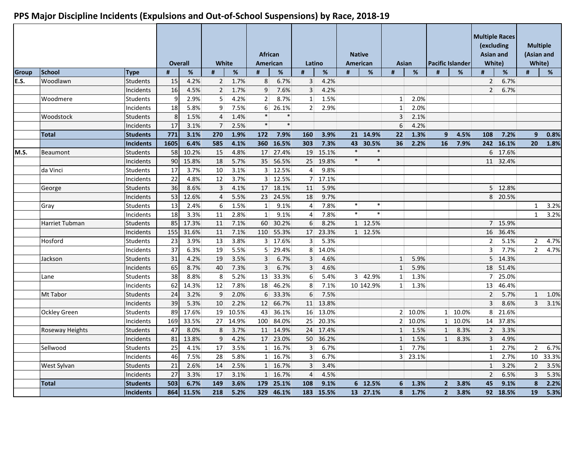|              |                       |                  |                 | Overall | White            |       | <b>African</b><br>American |           | Latino         |         |        | <b>Native</b><br>American |                  | Asian   |                | <b>Pacific Islander</b> |                | <b>Multiple Races</b><br>(excluding<br><b>Asian and</b><br>White) | <b>Multiple</b><br>(Asian and<br>White) |       |
|--------------|-----------------------|------------------|-----------------|---------|------------------|-------|----------------------------|-----------|----------------|---------|--------|---------------------------|------------------|---------|----------------|-------------------------|----------------|-------------------------------------------------------------------|-----------------------------------------|-------|
| <b>Group</b> | <b>School</b>         | <b>Type</b>      | #               | %       | #                | %     | #                          | %         | #              | %       | #      | %                         | #                | %       | #              | %                       | #              | %                                                                 | #                                       | %     |
| E.S.         | Woodlawn              | Students         | 15              | 4.2%    | $\overline{2}$   | 1.7%  | 8                          | 6.7%      | $\overline{3}$ | 4.2%    |        |                           |                  |         |                |                         | 2 <sup>1</sup> | 6.7%                                                              |                                         |       |
|              |                       | Incidents        | 16              | 4.5%    | $\overline{2}$   | 1.7%  | 9                          | 7.6%      | $\overline{3}$ | 4.2%    |        |                           |                  |         |                |                         | $\overline{2}$ | 6.7%                                                              |                                         |       |
|              | Woodmere              | Students         | 9               | 2.9%    | 5 <sup>1</sup>   | 4.2%  | 2 <sup>1</sup>             | 8.7%      | $\mathbf{1}$   | 1.5%    |        |                           | 1 <sup>1</sup>   | 2.0%    |                |                         |                |                                                                   |                                         |       |
|              |                       | Incidents        | 18              | 5.8%    | $\overline{9}$   | 7.5%  | 6 <sup>1</sup>             | 26.1%     | 2 <sup>1</sup> | 2.9%    |        |                           | 1                | 2.0%    |                |                         |                |                                                                   |                                         |       |
|              | Woodstock             | Students         | 8               | 1.5%    | $\overline{4}$   | 1.4%  | $\ast$                     | $\ast$    |                |         |        |                           | 3 <sup>1</sup>   | 2.1%    |                |                         |                |                                                                   |                                         |       |
|              |                       | Incidents        | 17              | 3.1%    | $\overline{7}$   | 2.5%  | $\ast$                     | $\ast$    |                |         |        |                           | $6 \overline{6}$ | 4.2%    |                |                         |                |                                                                   |                                         |       |
|              | <b>Total</b>          | <b>Students</b>  | 771             | 3.1%    | 270              | 1.9%  | 172                        | 7.9%      | 160            | 3.9%    |        | 21 14.9%                  | 22               | 1.3%    | $\overline{9}$ | 4.5%                    | 108            | 7.2%                                                              | 9                                       | 0.8%  |
|              |                       | <b>Incidents</b> | 1605            | 6.4%    | 585              | 4.1%  |                            | 360 16.5% | 303            | 7.3%    |        | 43 30.5%                  | 36               | 2.2%    | 16             | 7.9%                    | 242            | 16.1%                                                             | 20                                      | 1.8%  |
| M.S.         | Beaumont              | <b>Students</b>  | 58              | 10.2%   | 15               | 4.8%  | 17                         | 27.4%     | 19             | 15.1%   | $\ast$ | $\ast$                    |                  |         |                |                         |                | 6 17.6%                                                           |                                         |       |
|              |                       | Incidents        | 90              | 15.8%   | 18               | 5.7%  |                            | 35 56.5%  | 25             | 19.8%   | $\ast$ | $\ast$                    |                  |         |                |                         |                | 11 32.4%                                                          |                                         |       |
|              | da Vinci              | Students         | 17              | 3.7%    | 10 <sup>1</sup>  | 3.1%  |                            | 3 12.5%   | $\overline{4}$ | 9.8%    |        |                           |                  |         |                |                         |                |                                                                   |                                         |       |
|              |                       | Incidents        | 22              | 4.8%    | 12               | 3.7%  |                            | 3 12.5%   | 7 <sup>1</sup> | 17.1%   |        |                           |                  |         |                |                         |                |                                                                   |                                         |       |
|              | George                | <b>Students</b>  | $\overline{36}$ | 8.6%    | $\overline{3}$   | 4.1%  | 17                         | 18.1%     | 11             | 5.9%    |        |                           |                  |         |                |                         | 5 <sup>1</sup> | 12.8%                                                             |                                         |       |
|              |                       | Incidents        | 53              | 12.6%   | $\overline{4}$   | 5.5%  | 23                         | 24.5%     | 18             | 9.7%    |        |                           |                  |         |                |                         | 8 <sup>1</sup> | 20.5%                                                             |                                         |       |
|              | Gray                  | <b>Students</b>  | 13              | 2.4%    | $6 \overline{6}$ | 1.5%  | 1                          | 9.1%      | $\overline{4}$ | 7.8%    | $\ast$ | $\ast$                    |                  |         |                |                         |                |                                                                   | $\mathbf{1}$                            | 3.2%  |
|              |                       | Incidents        | 18              | 3.3%    | 11               | 2.8%  | 1                          | 9.1%      | $\overline{4}$ | 7.8%    | $\ast$ | $\ast$                    |                  |         |                |                         |                |                                                                   | $\mathbf{1}$                            | 3.2%  |
|              | <b>Harriet Tubman</b> | Students         | 85              | 17.3%   | 11               | 7.1%  | 60                         | 30.2%     | 6              | 8.2%    |        | 1 12.5%                   |                  |         |                |                         |                | 7 15.9%                                                           |                                         |       |
|              |                       | Incidents        | 155             | 31.6%   | 11               | 7.1%  | 110                        | 55.3%     | 17             | 23.3%   |        | 1 12.5%                   |                  |         |                |                         | 16             | 36.4%                                                             |                                         |       |
|              | Hosford               | <b>Students</b>  | 23              | 3.9%    | 13               | 3.8%  |                            | 3 17.6%   | 3 <sup>1</sup> | 5.3%    |        |                           |                  |         |                |                         | 2 <sup>1</sup> | 5.1%                                                              | $\overline{2}$                          | 4.7%  |
|              |                       | Incidents        | 37              | 6.3%    | 19               | 5.5%  |                            | 5 29.4%   |                | 8 14.0% |        |                           |                  |         |                |                         | 3 <sup>1</sup> | 7.7%                                                              | $\overline{2}$                          | 4.7%  |
|              | Jackson               | <b>Students</b>  | 31              | 4.2%    | 19               | 3.5%  | 3 <sup>1</sup>             | 6.7%      | $\overline{3}$ | 4.6%    |        |                           | 1                | 5.9%    |                |                         |                | 5 14.3%                                                           |                                         |       |
|              |                       | Incidents        | 65              | 8.7%    | 40               | 7.3%  | $\overline{3}$             | 6.7%      | $\overline{3}$ | 4.6%    |        |                           | $\mathbf{1}$     | 5.9%    |                |                         | 18             | 51.4%                                                             |                                         |       |
|              | Lane                  | Students         | 38              | 8.8%    | 8                | 5.2%  | 13                         | 33.3%     | 6              | 5.4%    |        | 3 42.9%                   | 1 <sup>1</sup>   | 1.3%    |                |                         | 7 <sup>1</sup> | 25.0%                                                             |                                         |       |
|              |                       | Incidents        | 62              | 14.3%   | 12               | 7.8%  | 18                         | 46.2%     | 8              | 7.1%    |        | 10 142.9%                 | $1\vert$         | 1.3%    |                |                         | 13             | 46.4%                                                             |                                         |       |
|              | Mt Tabor              | <b>Students</b>  | 24              | 3.2%    | 9                | 2.0%  |                            | 6 33.3%   | 6              | 7.5%    |        |                           |                  |         |                |                         | $\overline{2}$ | 5.7%                                                              | $\mathbf{1}$                            | 1.0%  |
|              |                       | Incidents        | 39              | 5.3%    | 10               | 2.2%  | 12                         | 66.7%     | 11             | 13.8%   |        |                           |                  |         |                |                         | $\overline{3}$ | 8.6%                                                              | 3                                       | 3.1%  |
|              | <b>Ockley Green</b>   | <b>Students</b>  | 89              | 17.6%   | 19 <sup>°</sup>  | 10.5% | 43                         | 36.1%     | 16             | 13.0%   |        |                           |                  | 2 10.0% |                | 1 10.0%                 | 8              | 21.6%                                                             |                                         |       |
|              |                       | Incidents        | 169             | 33.5%   | 27               | 14.9% | 100                        | 84.0%     | 25             | 20.3%   |        |                           |                  | 2 10.0% |                | 1 10.0%                 | 14             | 37.8%                                                             |                                         |       |
|              | Roseway Heights       | <b>Students</b>  | 47              | 8.0%    | 8                | 3.7%  | 11                         | 14.9%     | 24             | 17.4%   |        |                           | 1                | 1.5%    | 1              | 8.3%                    | $\overline{2}$ | 3.3%                                                              |                                         |       |
|              |                       | Incidents        | 81              | 13.8%   | 9                | 4.2%  |                            | 17 23.0%  | 50             | 36.2%   |        |                           | 1                | 1.5%    | 1              | 8.3%                    | $\overline{3}$ | 4.9%                                                              |                                         |       |
|              | Sellwood              | <b>Students</b>  | 25              | 4.1%    | 17               | 3.5%  |                            | 1 16.7%   | $\overline{3}$ | 6.7%    |        |                           | $\mathbf{1}$     | 7.7%    |                |                         | 1              | 2.7%                                                              | $\overline{2}$                          | 6.7%  |
|              |                       | Incidents        | 46              | 7.5%    | 28               | 5.8%  |                            | 1 16.7%   | $\overline{3}$ | 6.7%    |        |                           |                  | 3 23.1% |                |                         | 1 <sup>1</sup> | 2.7%                                                              | 10                                      | 33.3% |
|              | West Sylvan           | <b>Students</b>  | 21              | 2.6%    | 14               | 2.5%  |                            | 1 16.7%   | $\overline{3}$ | 3.4%    |        |                           |                  |         |                |                         | $\vert$ 1      | 3.2%                                                              | $\overline{2}$                          | 3.5%  |
|              |                       | Incidents        | 27              | 3.3%    | 17               | 3.1%  |                            | 1 16.7%   | $\overline{4}$ | 4.5%    |        |                           |                  |         |                |                         | $\overline{2}$ | 6.5%                                                              | 3                                       | 5.3%  |
|              | <b>Total</b>          | <b>Students</b>  | 503             | 6.7%    | 149              | 3.6%  |                            | 179 25.1% | 108            | 9.1%    |        | 6 12.5%                   | 6                | 1.3%    | 2 <sup>1</sup> | 3.8%                    | 45             | 9.1%                                                              | 8                                       | 2.2%  |
|              |                       | <b>Incidents</b> | 864             | 11.5%   | 218              | 5.2%  | 329                        | 46.1%     | 183            | 15.5%   |        | 13 27.1%                  | 8                | 1.7%    | 2 <sup>1</sup> | 3.8%                    |                | 92 18.5%                                                          | 19                                      | 5.3%  |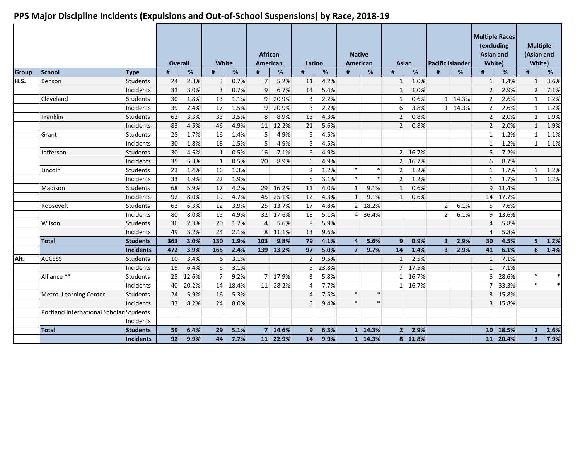|              |                                         |                 |     | Overall | <b>White</b>   |       | <b>African</b><br>American |           | Latino         |         | American       | <b>Native</b> | Asian            |         |                | <b>Pacific Islander</b> | <b>Multiple Races</b><br>(excluding<br><b>Asian and</b><br>White) |          | <b>Multiple</b><br>(Asian and<br>White) |                   |
|--------------|-----------------------------------------|-----------------|-----|---------|----------------|-------|----------------------------|-----------|----------------|---------|----------------|---------------|------------------|---------|----------------|-------------------------|-------------------------------------------------------------------|----------|-----------------------------------------|-------------------|
| <b>Group</b> | <b>School</b>                           | <b>Type</b>     | #   | %       | #              | $\%$  | #                          | %         | #              | $\%$    | #              | %             | #                | %       | #              | %                       | #                                                                 | %        | #                                       | %                 |
| H.S.         | Benson                                  | <b>Students</b> | 24  | 2.3%    | $\overline{3}$ | 0.7%  | 7 <sup>1</sup>             | 5.2%      | 11             | 4.2%    |                |               | 1                | 1.0%    |                |                         | 1                                                                 | 1.4%     | $\mathbf{1}$                            | 3.6%              |
|              |                                         | Incidents       | 31  | 3.0%    | $\overline{3}$ | 0.7%  | 9                          | 6.7%      | 14             | 5.4%    |                |               | $\mathbf{1}$     | 1.0%    |                |                         | 2 <sup>1</sup>                                                    | 2.9%     | $\overline{2}$                          | 7.1%              |
|              | Cleveland                               | <b>Students</b> | 30  | 1.8%    | 13             | 1.1%  |                            | 9 20.9%   | $\overline{3}$ | 2.2%    |                |               | 1                | 0.6%    |                | 1 14.3%                 | 2 <sup>1</sup>                                                    | 2.6%     | $\mathbf{1}$                            | 1.2%              |
|              |                                         | Incidents       | 39  | 2.4%    | 17             | 1.5%  |                            | 9 20.9%   | $\overline{3}$ | 2.2%    |                |               | $6 \overline{6}$ | 3.8%    |                | 1 14.3%                 | 2 <sup>1</sup>                                                    | 2.6%     | $\mathbf{1}$                            | 1.2%              |
|              | Franklin                                | Students        | 62  | 3.3%    | 33             | 3.5%  | 8                          | 8.9%      | 16             | 4.3%    |                |               | $\overline{2}$   | 0.8%    |                |                         | 2 <sup>1</sup>                                                    | 2.0%     | $\mathbf{1}$                            | 1.9%              |
|              |                                         | Incidents       | 83  | 4.5%    | 46             | 4.9%  |                            | 11 12.2%  | 21             | 5.6%    |                |               | 2 <sup>1</sup>   | 0.8%    |                |                         | 2 <sup>1</sup>                                                    | 2.0%     | $\mathbf{1}$                            | 1.9%              |
|              | Grant                                   | Students        | 28  | 1.7%    | 16             | 1.4%  | 5 <sup>1</sup>             | 4.9%      | 5              | 4.5%    |                |               |                  |         |                |                         | 1                                                                 | 1.2%     | $\mathbf{1}$                            | 1.1%              |
|              |                                         | Incidents       | 30  | 1.8%    | 18             | 1.5%  | 5 <sup>1</sup>             | 4.9%      | 5              | 4.5%    |                |               |                  |         |                |                         | $1\vert$                                                          | 1.2%     | $\mathbf{1}$                            | 1.1%              |
|              | Jefferson                               | <b>Students</b> | 30  | 4.6%    | $\mathbf{1}$   | 0.5%  | 16                         | 7.1%      | 6              | 4.9%    |                |               |                  | 2 16.7% |                |                         | 5 <sup>1</sup>                                                    | 7.2%     |                                         |                   |
|              |                                         | Incidents       | 35  | 5.3%    | $\mathbf{1}$   | 0.5%  | 20                         | 8.9%      | 6              | 4.9%    |                |               |                  | 2 16.7% |                |                         | $6 \overline{6}$                                                  | 8.7%     |                                         |                   |
|              | Lincoln                                 | <b>Students</b> | 23  | 1.4%    | 16             | 1.3%  |                            |           | $\overline{2}$ | 1.2%    | $\ast$         | $\ast$        | $\overline{2}$   | 1.2%    |                |                         | $1\vert$                                                          | 1.7%     | $\mathbf{1}$                            | 1.2%              |
|              |                                         | Incidents       | 33  | 1.9%    | 22             | 1.9%  |                            |           | 5              | 3.1%    | $\ast$         | $\ast$        | 2 <sup>1</sup>   | 1.2%    |                |                         | 1                                                                 | 1.7%     | $\mathbf{1}$                            | 1.2%              |
|              | Madison                                 | <b>Students</b> | 68  | 5.9%    | 17             | 4.2%  |                            | 29 16.2%  | 11             | 4.0%    | 1              | 9.1%          | 1                | 0.6%    |                |                         |                                                                   | 9 11.4%  |                                         |                   |
|              |                                         | Incidents       | 92  | 8.0%    | 19             | 4.7%  |                            | 45 25.1%  | 12             | 4.3%    | 1              | 9.1%          | 1                | 0.6%    |                |                         |                                                                   | 14 17.7% |                                         |                   |
|              | Roosevelt                               | <b>Students</b> | 63  | 6.3%    | 12             | 3.9%  |                            | 25 13.7%  | 17             | 4.8%    |                | 2 18.2%       |                  |         | 2 <sup>1</sup> | 6.1%                    | 5 <sup>1</sup>                                                    | 7.6%     |                                         |                   |
|              |                                         | Incidents       | 80  | 8.0%    | 15             | 4.9%  |                            | 32 17.6%  | 18             | 5.1%    |                | 4 36.4%       |                  |         | 2 <sup>1</sup> | 6.1%                    |                                                                   | 9 13.6%  |                                         |                   |
|              | Wilson                                  | <b>Students</b> | 36  | 2.3%    | 20             | 1.7%  | $\overline{4}$             | 5.6%      | 8              | 5.9%    |                |               |                  |         |                |                         | $\overline{4}$                                                    | 5.8%     |                                         |                   |
|              |                                         | Incidents       | 49  | 3.2%    | 24             | 2.1%  |                            | 8 11.1%   | 13             | 9.6%    |                |               |                  |         |                |                         | $\overline{4}$                                                    | 5.8%     |                                         |                   |
|              | <b>Total</b>                            | <b>Students</b> | 363 | 3.0%    | 130            | 1.9%  | 103                        | 9.8%      | 79             | 4.1%    | $\mathbf{A}$   | 5.6%          | 9 <sup>1</sup>   | 0.9%    | 3 <sup>1</sup> | 2.9%                    | 30 <sup>°</sup>                                                   | 4.5%     | 5 <sup>5</sup>                          | 1.2%              |
|              |                                         | Incidents       | 472 | 3.9%    | 165            | 2.4%  |                            | 139 13.2% | 97             | 5.0%    | 7 <sup>1</sup> | 9.7%          | 14               | 1.4%    | 3 <sup>1</sup> | 2.9%                    | 41                                                                | 6.1%     | 6                                       | 1.4%              |
| Alt.         | <b>ACCESS</b>                           | <b>Students</b> | 10  | 3.4%    | 6              | 3.1%  |                            |           | 2 <sup>1</sup> | 9.5%    |                |               | 1                | 2.5%    |                |                         | $1\vert$                                                          | 7.1%     |                                         |                   |
|              |                                         | Incidents       | 19  | 6.4%    | 6              | 3.1%  |                            |           |                | 5 23.8% |                |               |                  | 7 17.5% |                |                         | $\mathbf{1}$                                                      | 7.1%     |                                         |                   |
|              | Alliance **                             | <b>Students</b> | 25  | 12.6%   | 7              | 9.2%  |                            | 7 17.9%   | 3              | 5.8%    |                |               |                  | 1 16.7% |                |                         | 6 <sup>1</sup>                                                    | 28.6%    | $\ast$                                  | $\ast$            |
|              |                                         | Incidents       | 40  | 20.2%   | 14             | 18.4% |                            | 11 28.2%  | $\overline{4}$ | 7.7%    |                |               |                  | 1 16.7% |                |                         | 7 <sup>1</sup>                                                    | 33.3%    | $\ast$                                  | $\overline{\ast}$ |
|              | Metro. Learning Center                  | <b>Students</b> | 24  | 5.9%    | 16             | 5.3%  |                            |           | $\overline{a}$ | 7.5%    | $\ast$         | $\ast$        |                  |         |                |                         |                                                                   | 3 15.8%  |                                         |                   |
|              |                                         | Incidents       | 33  | 8.2%    | 24             | 8.0%  |                            |           | 5              | 9.4%    | $\ast$         | $\ast$        |                  |         |                |                         |                                                                   | 3 15.8%  |                                         |                   |
|              | Portland International Scholar Students |                 |     |         |                |       |                            |           |                |         |                |               |                  |         |                |                         |                                                                   |          |                                         |                   |
|              |                                         | Incidents       |     |         |                |       |                            |           |                |         |                |               |                  |         |                |                         |                                                                   |          |                                         |                   |
|              | <b>Total</b>                            | <b>Students</b> | 59  | 6.4%    | 29             | 5.1%  |                            | 7 14.6%   | $\overline{9}$ | 6.3%    |                | 1 14.3%       | $2^{\vert}$      | 2.9%    |                |                         |                                                                   | 10 18.5% | $\mathbf{1}$                            | 2.6%              |
|              |                                         | Incidents       | 92  | 9.9%    | 44             | 7.7%  |                            | 11 22.9%  | 14             | 9.9%    |                | 1 14.3%       |                  | 8 11.8% |                |                         |                                                                   | 11 20.4% | $\overline{\mathbf{3}}$                 | 7.9%              |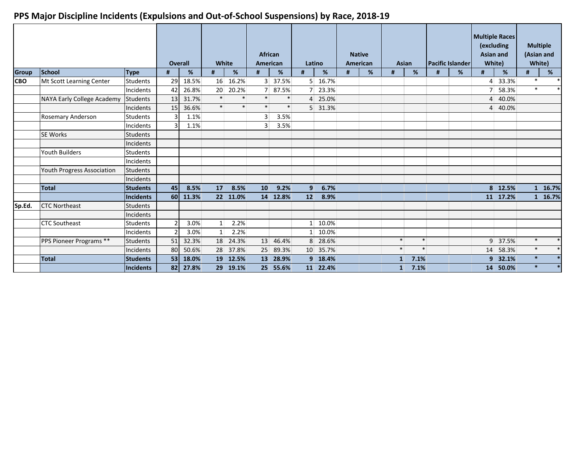|              |                            |                 |                 | <b>Overall</b> | White           |          | <b>African</b><br><b>American</b> |          |                | Latino   |   | <b>Native</b><br><b>American</b> | <b>Asian</b>   |        |   | <b>Pacific Islander</b> |   | <b>Multiple Races</b><br>(excluding<br><b>Asian and</b><br>White) |        | <b>Multiple</b><br>(Asian and<br>White) |
|--------------|----------------------------|-----------------|-----------------|----------------|-----------------|----------|-----------------------------------|----------|----------------|----------|---|----------------------------------|----------------|--------|---|-------------------------|---|-------------------------------------------------------------------|--------|-----------------------------------------|
| <b>Group</b> | <b>School</b>              | <b>Type</b>     | #               | %              | #               | %        | #                                 | %        | #              | %        | # | %                                | #              | %      | # | %                       | # | %                                                                 | #      | %                                       |
| <b>CBO</b>   | Mt Scott Learning Center   | <b>Students</b> | 29              | 18.5%          | 16              | 16.2%    |                                   | 3 37.5%  |                | 5 16.7%  |   |                                  |                |        |   |                         |   | 4 33.3%                                                           | $\ast$ |                                         |
|              |                            | Incidents       | 42              | 26.8%          | 20 <sup>1</sup> | 20.2%    | 7 <sup>1</sup>                    | 87.5%    |                | 7 23.3%  |   |                                  |                |        |   |                         | 7 | 58.3%                                                             | $\ast$ |                                         |
|              | NAYA Early College Academy | <b>Students</b> | 13              | 31.7%          | $\ast$          | $\ast$   | $\ast$                            | $\ast$   |                | 4 25.0%  |   |                                  |                |        |   |                         |   | 4 40.0%                                                           |        |                                         |
|              |                            | Incidents       | 15              | 36.6%          | $\ast$          | $\ast$   | $\ast$                            | $\ast$   |                | 5 31.3%  |   |                                  |                |        |   |                         |   | 4 40.0%                                                           |        |                                         |
|              | Rosemary Anderson          | <b>Students</b> |                 | 1.1%           |                 |          | $\overline{3}$                    | 3.5%     |                |          |   |                                  |                |        |   |                         |   |                                                                   |        |                                         |
|              |                            | Incidents       |                 | 1.1%           |                 |          | 3                                 | 3.5%     |                |          |   |                                  |                |        |   |                         |   |                                                                   |        |                                         |
|              | <b>SE Works</b>            | <b>Students</b> |                 |                |                 |          |                                   |          |                |          |   |                                  |                |        |   |                         |   |                                                                   |        |                                         |
|              |                            | Incidents       |                 |                |                 |          |                                   |          |                |          |   |                                  |                |        |   |                         |   |                                                                   |        |                                         |
|              | <b>Youth Builders</b>      | <b>Students</b> |                 |                |                 |          |                                   |          |                |          |   |                                  |                |        |   |                         |   |                                                                   |        |                                         |
|              |                            | Incidents       |                 |                |                 |          |                                   |          |                |          |   |                                  |                |        |   |                         |   |                                                                   |        |                                         |
|              | Youth Progress Association | Students        |                 |                |                 |          |                                   |          |                |          |   |                                  |                |        |   |                         |   |                                                                   |        |                                         |
|              |                            | Incidents       |                 |                |                 |          |                                   |          |                |          |   |                                  |                |        |   |                         |   |                                                                   |        |                                         |
|              | <b>Total</b>               | <b>Students</b> | 45              | 8.5%           | 17              | 8.5%     | 10                                | 9.2%     | 9              | 6.7%     |   |                                  |                |        |   |                         |   | 8 12.5%                                                           |        | 1 16.7%                                 |
|              |                            | Incidents       |                 | 60 11.3%       |                 | 22 11.0% |                                   | 14 12.8% | 12             | 8.9%     |   |                                  |                |        |   |                         |   | 11 17.2%                                                          |        | 1 16.7%                                 |
| Sp.Ed.       | <b>CTC Northeast</b>       | <b>Students</b> |                 |                |                 |          |                                   |          |                |          |   |                                  |                |        |   |                         |   |                                                                   |        |                                         |
|              |                            | Incidents       |                 |                |                 |          |                                   |          |                |          |   |                                  |                |        |   |                         |   |                                                                   |        |                                         |
|              | <b>CTC Southeast</b>       | <b>Students</b> |                 | 3.0%           | $\mathbf{1}$    | 2.2%     |                                   |          | 1 <sup>1</sup> | 10.0%    |   |                                  |                |        |   |                         |   |                                                                   |        |                                         |
|              |                            | Incidents       |                 | 3.0%           | $\mathbf{1}$    | 2.2%     |                                   |          |                | 10.0%    |   |                                  |                |        |   |                         |   |                                                                   |        |                                         |
|              | PPS Pioneer Programs **    | <b>Students</b> | 51              | 32.3%          | 18              | 24.3%    |                                   | 13 46.4% |                | 8 28.6%  |   |                                  | $\ast$         | $\ast$ |   |                         |   | 9 37.5%                                                           | $\ast$ | $\ast$                                  |
|              |                            | Incidents       | 80              | 50.6%          | 28              | 37.8%    |                                   | 25 89.3% |                | 10 35.7% |   |                                  | $\ast$         | $\ast$ |   |                         |   | 14 58.3%                                                          | $\ast$ | $\ast$                                  |
|              | <b>Total</b>               | <b>Students</b> | 53 <sup>1</sup> | 18.0%          | 19 <sup>°</sup> | 12.5%    |                                   | 13 28.9% |                | 9 18.4%  |   |                                  | 1 <sup>1</sup> | 7.1%   |   |                         |   | 9 32.1%                                                           | $\ast$ |                                         |
|              |                            | Incidents       |                 | 82 27.8%       |                 | 29 19.1% |                                   | 25 55.6% |                | 11 22.4% |   |                                  | 1              | 7.1%   |   |                         |   | 14 50.0%                                                          | $\ast$ |                                         |